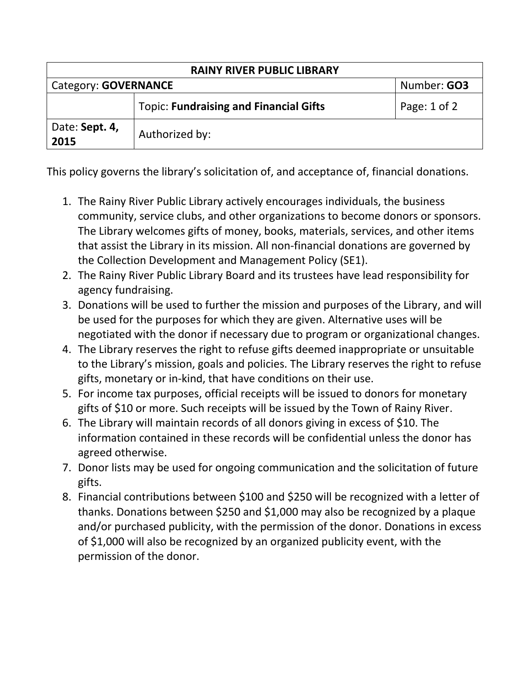| <b>RAINY RIVER PUBLIC LIBRARY</b> |                                               |                  |  |
|-----------------------------------|-----------------------------------------------|------------------|--|
| Category: GOVERNANCE              |                                               | Number: GO3      |  |
|                                   | <b>Topic: Fundraising and Financial Gifts</b> | Page: $1$ of $2$ |  |
| Date: Sept. 4,<br>2015            | Authorized by:                                |                  |  |

This policy governs the library's solicitation of, and acceptance of, financial donations.

- 1. The Rainy River Public Library actively encourages individuals, the business community, service clubs, and other organizations to become donors or sponsors. The Library welcomes gifts of money, books, materials, services, and other items that assist the Library in its mission. All non-financial donations are governed by the Collection Development and Management Policy (SE1).
- 2. The Rainy River Public Library Board and its trustees have lead responsibility for agency fundraising.
- 3. Donations will be used to further the mission and purposes of the Library, and will be used for the purposes for which they are given. Alternative uses will be negotiated with the donor if necessary due to program or organizational changes.
- 4. The Library reserves the right to refuse gifts deemed inappropriate or unsuitable to the Library's mission, goals and policies. The Library reserves the right to refuse gifts, monetary or in-kind, that have conditions on their use.
- 5. For income tax purposes, official receipts will be issued to donors for monetary gifts of \$10 or more. Such receipts will be issued by the Town of Rainy River.
- 6. The Library will maintain records of all donors giving in excess of \$10. The information contained in these records will be confidential unless the donor has agreed otherwise.
- 7. Donor lists may be used for ongoing communication and the solicitation of future gifts.
- 8. Financial contributions between \$100 and \$250 will be recognized with a letter of thanks. Donations between \$250 and \$1,000 may also be recognized by a plaque and/or purchased publicity, with the permission of the donor. Donations in excess of \$1,000 will also be recognized by an organized publicity event, with the permission of the donor.